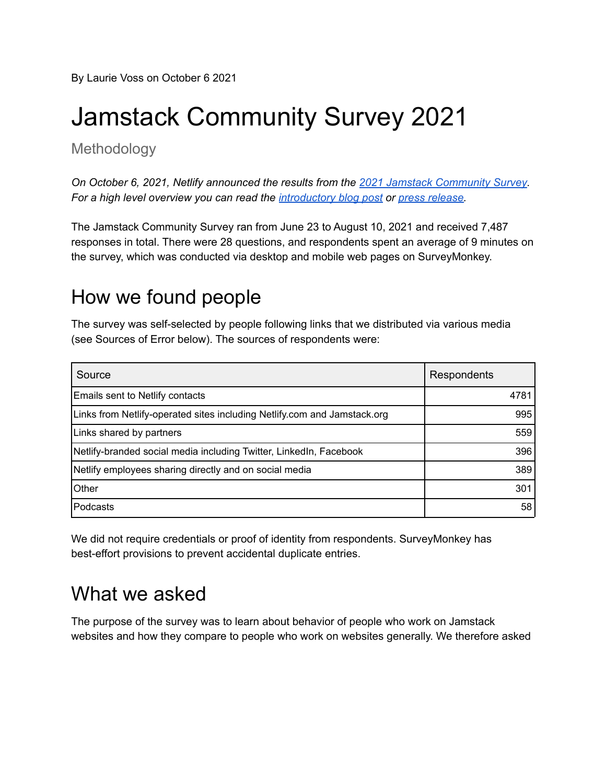By Laurie Voss on October 6 2021

# Jamstack Community Survey 2021

Methodology

*On October 6, 2021, Netlify announced the results from the 2021 Jamstack [Community](https://jamstack.org/survey/2021/) Survey. For a high level overview you can read the [introductory](https://www.netlify.com/blog/2021/10/06/first-look-announcing-jamstack-community-survey-2021-results/) blog post or press [release.](https://www.netlify.com/press/jamstack-web-development-community-is-booming-new-netlify-report-reveals)*

The Jamstack Community Survey ran from June 23 to August 10, 2021 and received 7,487 responses in total. There were 28 questions, and respondents spent an average of 9 minutes on the survey, which was conducted via desktop and mobile web pages on SurveyMonkey.

### How we found people

The survey was self-selected by people following links that we distributed via various media (see Sources of Error below). The sources of respondents were:

| Source                                                                   | Respondents |
|--------------------------------------------------------------------------|-------------|
| <b>Emails sent to Netlify contacts</b>                                   | 4781        |
| Links from Netlify-operated sites including Netlify.com and Jamstack.org | 995         |
| Links shared by partners                                                 | 559         |
| Netlify-branded social media including Twitter, LinkedIn, Facebook       | 396         |
| Netlify employees sharing directly and on social media                   | 389         |
| Other                                                                    | 301         |
| Podcasts                                                                 | 58          |

We did not require credentials or proof of identity from respondents. SurveyMonkey has best-effort provisions to prevent accidental duplicate entries.

### What we asked

The purpose of the survey was to learn about behavior of people who work on Jamstack websites and how they compare to people who work on websites generally. We therefore asked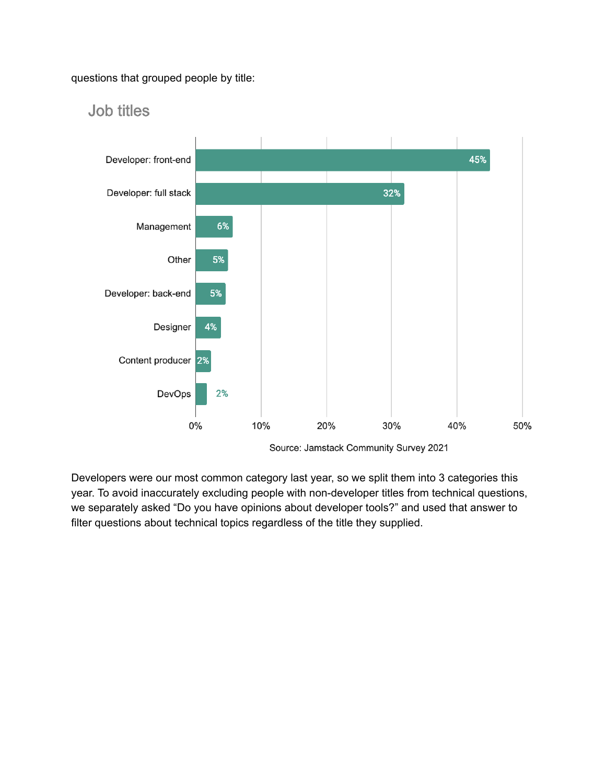questions that grouped people by title:



#### Job titles

Source: Jamstack Community Survey 2021

Developers were our most common category last year, so we split them into 3 categories this year. To avoid inaccurately excluding people with non-developer titles from technical questions, we separately asked "Do you have opinions about developer tools?" and used that answer to filter questions about technical topics regardless of the title they supplied.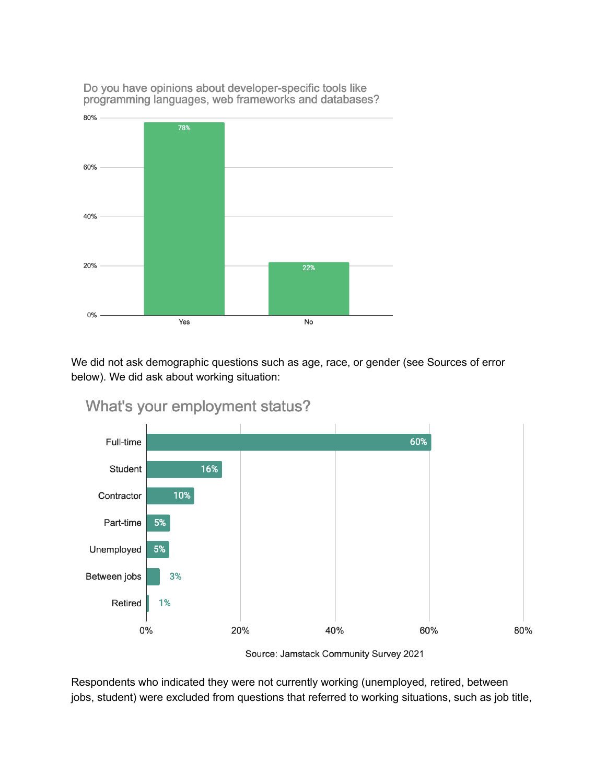

Do you have opinions about developer-specific tools like programming languages, web frameworks and databases?

We did not ask demographic questions such as age, race, or gender (see Sources of error below). We did ask about working situation:



What's your employment status?

Respondents who indicated they were not currently working (unemployed, retired, between jobs, student) were excluded from questions that referred to working situations, such as job title,

Source: Jamstack Community Survey 2021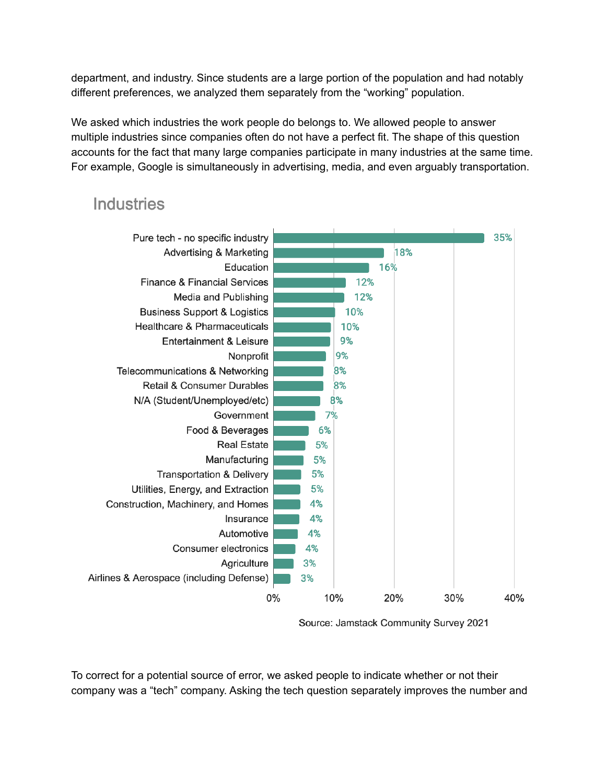department, and industry. Since students are a large portion of the population and had notably different preferences, we analyzed them separately from the "working" population.

We asked which industries the work people do belongs to. We allowed people to answer multiple industries since companies often do not have a perfect fit. The shape of this question accounts for the fact that many large companies participate in many industries at the same time. For example, Google is simultaneously in advertising, media, and even arguably transportation.

#### **Industries**



Source: Jamstack Community Survey 2021

To correct for a potential source of error, we asked people to indicate whether or not their company was a "tech" company. Asking the tech question separately improves the number and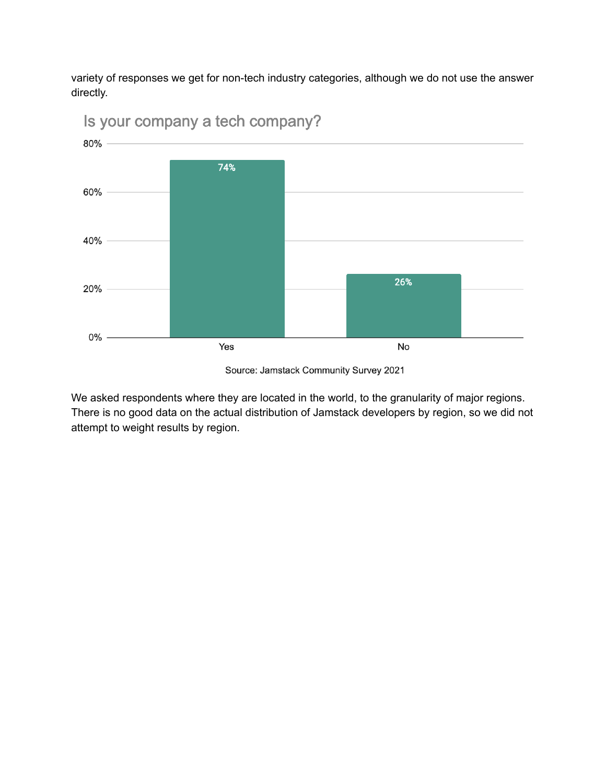variety of responses we get for non-tech industry categories, although we do not use the answer directly.



Is your company a tech company?

Source: Jamstack Community Survey 2021

We asked respondents where they are located in the world, to the granularity of major regions. There is no good data on the actual distribution of Jamstack developers by region, so we did not attempt to weight results by region.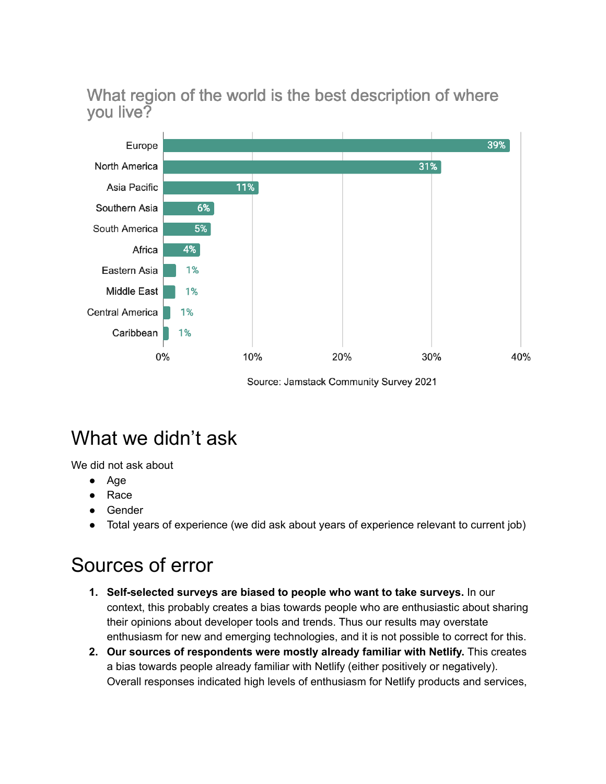What region of the world is the best description of where you live?



Source: Jamstack Community Survey 2021

## What we didn't ask

We did not ask about

- Age
- **Race**
- **Gender**
- Total years of experience (we did ask about years of experience relevant to current job)

### Sources of error

- **1. Self-selected surveys are biased to people who want to take surveys.** In our context, this probably creates a bias towards people who are enthusiastic about sharing their opinions about developer tools and trends. Thus our results may overstate enthusiasm for new and emerging technologies, and it is not possible to correct for this.
- **2. Our sources of respondents were mostly already familiar with Netlify.** This creates a bias towards people already familiar with Netlify (either positively or negatively). Overall responses indicated high levels of enthusiasm for Netlify products and services,